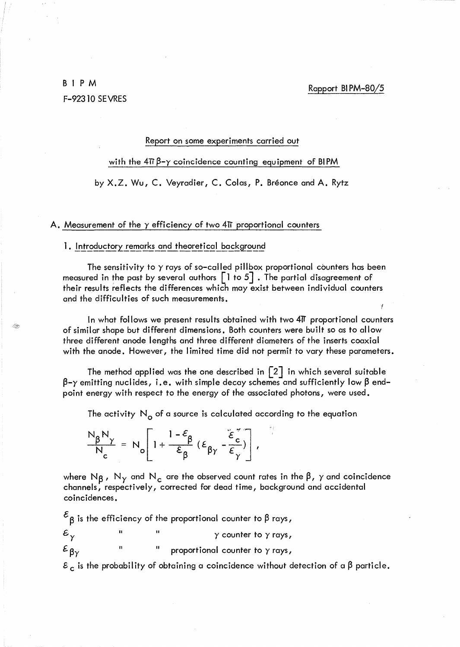# BIPM F-9231O SEVRES

#### Report on some experiments carried out

with the  $4\pi\beta-\gamma$  coincidence counting equipment of BIPM

by X.Z. Wu, C. Veyradier, C. Colas, P. Bréonce and A. Rytz

#### A. Measurement of the  $\gamma$  efficiency of two 4 $\pi$  proportional counters

# 1. Introductory remarks and theoretical background

The sensitivity to  $\gamma$  rays of so-called pillbox proportional counters has been measured in the past by several authors  $\lceil$  1 to 5  $\rceil$  . The partial disagreement of their results reflects the differences which may exist between individual counters and the difficulties of such measurements.

In what follows we present results obtained with two 41T proportional counters of similar shape but different dimensions. Both counters were built so as to allow three different anode lengths and three different diameters of the inserts coaxial with the anode. However, the limited time did not permit to vary these parameters.

The method applied was the one described in  $\lceil 2 \rceil$  in which several suitable  $\beta$ -y emitting nuclides, i.e. with simple decay schemes and sufficiently low  $\beta$  endpoint energy with respect to the energy of the associated photons, were used.

The activity  $N_{\alpha}$  of a source is calculated according to the equation

 $\frac{N_{\beta}N_{\gamma}}{N_{c}} = N_{o} \left[ 1 + \frac{1-\varepsilon_{\beta}}{\varepsilon_{\beta}} (\varepsilon_{\beta\gamma} - \frac{\varepsilon_{c}^{*}}{\varepsilon_{\gamma}}) \right],$ 

where N<sub>B</sub>, N<sub>Y</sub> and N<sub>c</sub> are the observed count rates in the  $\beta$ ,  $\gamma$  and coincidence channels, respectively, corrected for dead time, background and accidental coincidences.

 $\mathcal{E}_{\beta}$  is the efficiency of the proportional counter to  $\beta$  rays,

 $\mathcal{E}_{\gamma}$   $\qquad$   $\qquad$   $\qquad$   $\qquad$   $\qquad$   $\qquad$   $\qquad$   $\qquad$   $\qquad$   $\qquad$   $\qquad$   $\qquad$   $\qquad$   $\qquad$   $\qquad$   $\qquad$   $\qquad$   $\qquad$   $\qquad$   $\qquad$   $\qquad$   $\qquad$   $\qquad$   $\qquad$   $\qquad$   $\qquad$   $\qquad$   $\qquad$   $\qquad$   $\qquad$   $\qquad$   $\qquad$   $\qquad$   $\qquad$   $\qquad$ 

 $\mathcal{E}_{\beta \gamma}$  " " proportional counter to  $\gamma$  rays,

 $\epsilon_c$  is the probability of obtaining a coincidence without detection of a  $\beta$  particle.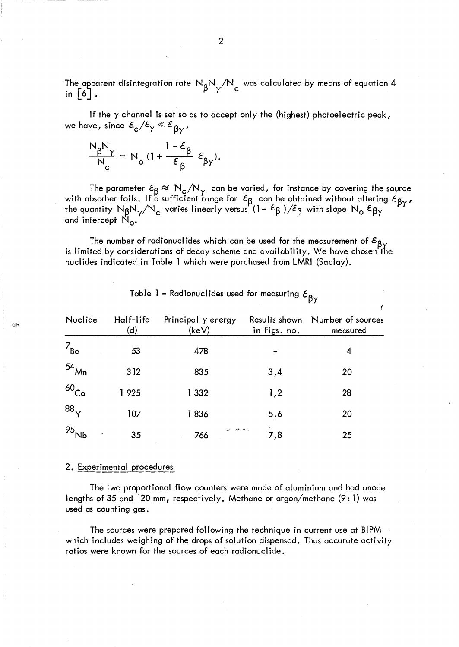The apparent disintegration rate  ${\sf N}_{\sf g}{\sf N}_{\sf v}/{\sf N}_{\sf c}$  was calculated by means of equation 4 in  $\begin{bmatrix} 6 \end{bmatrix}$ .  $\begin{bmatrix} 9 \end{bmatrix}$   $\begin{bmatrix} 1 \end{bmatrix}$ 

If the  $\gamma$  channel is set so as to accept only the (highest) photoelectric peak, we have, since  $\varepsilon_{\rm c}/\varepsilon_{\rm y} \ll \varepsilon_{\rm \beta y}$ ,

$$
\frac{N_{\beta}N_{\gamma}}{N_{c}} = N_{o} \left(1 + \frac{1 - \varepsilon_{\beta}}{\varepsilon_{\beta}} \varepsilon_{\beta\gamma}\right).
$$

The parameter  $\epsilon_{\beta} \approx N_c/N_\gamma$  can be varied, for instance by covering the source with absorber foils. If a sufficient range for  $~\epsilon_{\mathsf{B}}~$  can be obtained without altering  $\epsilon_{\mathsf{B}\mathrm{v}}$  , the quantity  ${\sf N_\beta N_\gamma/N_c}$  varies linearly versus (1–  $\epsilon_\beta$  )/E $_\beta$  with slope  ${\sf N_\alpha\,}\epsilon_{\beta\gamma}$ and intercept  $\mathrm{N}_\mathbf{O}$ .

The number of radionuclides which can be used for the measurement of  $\varepsilon_{\beta\gamma}$ is limited by considerations of decay scheme and availability. We have chosen the nuclides indicated in Table 1 which were purchased from LMRI (Saclay).

| Nuclide            | Half-life<br>(d) | Principal $\gamma$ energy<br>(keV) | Results shown<br>in Figs. no. | Number of sources<br>measured |
|--------------------|------------------|------------------------------------|-------------------------------|-------------------------------|
| $7_{\sf Be}$       | 53               | 478                                |                               | 4                             |
| $54$ <sub>Mn</sub> | 312              | 835                                | 3,4                           | 20                            |
| 60 <sub>Co</sub>   | 1925             | 1 3 3 2                            | 1,2                           | 28                            |
| 88 <sub>v</sub>    | 107              | 1836                               | 5,6                           | 20                            |
| 95 <sub>k</sub>    | 35               | se <del>ap</del> rimo,<br>766      | 7,8                           | 25                            |

Table 1 - Radionuclides used for measuring  $\varepsilon_{\beta\gamma}$ 

## 2. Experimental procedures

The two proportional flow counters were made of aluminium and had anode lengths of 35 and 120 mm, respectively. Methane or argon/methane (9: 1) was used as counting gas.

The sources were prepared following the technique in current use at BIPM which includes weighing of the drops of solution dispensed. Thus accurate activity ratios were known for the sources of each radionuclide.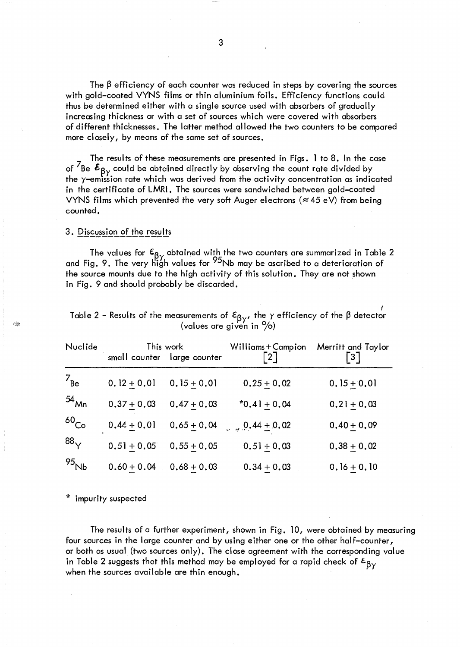The  $\beta$  efficiency of each counter was reduced in steps by covering the sources with gold-coated VYNS films or thin aluminium foils. Efficiency functions could thus be determined either with a single source used with absorbers of gradually increasing thickness or with a set of sources which were covered with absorbers of different thicknesses. The latter method allowed the two counters to be compared more closely, by means of the same set of sources.

The results of these measurements are presented in Figs. 1 to 8. In the case of  $\overline{7}$ Be  $\epsilon_{\beta\gamma}$  could be obtained directly by observing the count rate divided by<br>the y-emission rate which was derived from the activity concentration as indicated in the certificate of LMRI. The sources were sandwiched between gold-coated VYNS films which prevented the very soft Auger electrons ( $\approx$  45 eV) from being counted.

## 3. Discussion of the results

E.

The values for  $\epsilon_{\beta\gamma}$  obtained with the two counters are summarized in Table 2 and Fig. 9. The very high values for <sup>95</sup>Nb may be ascribed to a deterioration of the source mounts due to the high activity of this solution. They are not shown in Fig. 9 and should probably be discarded.

| Nuclide             | This work<br>small counter large counter |               | Williams + Campion<br>$\lceil 2 \rceil$ | Merritt and Taylor<br>$\lceil 3 \rceil$ |  |
|---------------------|------------------------------------------|---------------|-----------------------------------------|-----------------------------------------|--|
| $7_{\text{Be}}$     | $0.12 + 0.01$                            | $0.15 + 0.01$ | $0.25 + 0.02$                           | $0.15 + 0.01$                           |  |
| $54$ Mn             | $0.37 + 0.03$                            | $0.47 + 0.03$ | $*0.41 + 0.04$                          | $0.21 + 0.03$                           |  |
| 60C <sub>o</sub>    | $0.44 + 0.01$                            | $0.65 + 0.04$ | $\frac{0.44 \pm 0.02}{1}$               | $0.40 + 0.09$                           |  |
| 88 <sub>V</sub>     | $0.51 + 0.05$                            | $0.55 + 0.05$ | $0.51 + 0.03$                           | $0.38 + 0.02$                           |  |
| 95 $_{\mathsf{Nb}}$ | $0.60 + 0.04$                            | $0.68 + 0.03$ | $0.34 + 0.03$                           | $0.16 + 0.10$                           |  |

| Table 2 - Results of the measurements of $\epsilon_{\beta}$ , the y efficiency of the $\beta$ detector |  |  |  |  |  |  |  |  |
|--------------------------------------------------------------------------------------------------------|--|--|--|--|--|--|--|--|
| (values are given in $\%$ )                                                                            |  |  |  |  |  |  |  |  |

\* impurity suspected

The results of a further experiment, shown in Fig. 10, were obtained by measuring four sources in the large counter and by using either one or the other half-counter, or both as usual (two sources only). The close agreement with the corresponding value in Table 2 suggests that this method may be employed for a rapid check of  $\epsilon_{\beta\gamma}$ when the sources available are thin enough.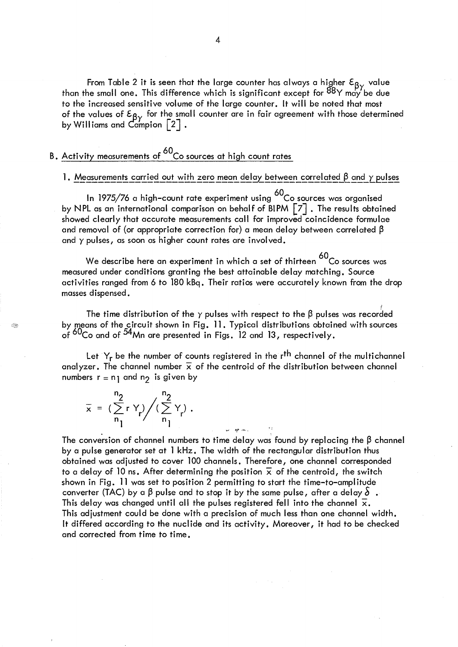From Table 2 it is seen that the large counter has always a higher  $\mathbf{\mathsf{\mathfrak{c}}}_{\mathsf{R}\mathbf{v}}$  value than the small one. This difference which is significant except for <sup>88</sup>Y may be du<mark>e</mark> to the increased sensitive volume of the large counter. It will be noted that most of the values of  $\mathcal{E}_{\mathsf{B}\mathsf{v}}$  for the small counter are in fair agreement with those determined by Williams and Campion  $\left[\begin{smallmatrix}2\end{smallmatrix}\right]$  .

# B. Activity measurements of <sup>60</sup>Co sources at high count rates

# 1. Measurements carried out with zero mean delay between correlated  $\beta$  and  $\gamma$  pulses

In 1975/76 a high-count rate experiment using <sup>60</sup>Co sources was organised by NPL as an international comparison on behalf of BIPM  $\lceil 7 \rceil$  . The results obtained showed clearly that accurate measurements call for improved coincidence formulae and removal of (or appropriate correction for) a mean delay between correlated  $\beta$ and  $\gamma$  pulses, as soon as higher count rates are involved.

We describe here an experiment in which a set of thirteen <sup>60</sup>Co sources was measured under conditions granting the best attainable delay matching. Source activities ranged from 6 to 180 kBq. Their ratios were accurately known from the drop masses dispensed.

*t*  The time distribution of the  $\gamma$  pulses with respect to the  $\beta$  pulses was recorded by means of the circuit shown in Fig. 11. Typical distributions obtained with sources of <sup>0U</sup>Co and of <sup>04</sup>Mn are presented in Figs. 12 and 13, respectively.

Let  $Y_r$  be the number of counts registered in the  $r<sup>th</sup>$  channel of the multichannel analyzer. The channel number  $\bar{x}$  of the centroid of the distribution between channel numbers  $r = n_1$  and  $n_2$  is given by

$$
\overline{x} = \left(\sum_{n=1}^{n_2} r Y_r\right) / \left(\sum_{n=1}^{n_2} Y_r\right).
$$

€€

The conversion of channel numbers to time delay was found by replacing the  $\beta$  channel by a pulse generator set at 1 kHz. The width of the rectangular distribution thus obtained was adjusted to cover 100 channels. Therefore, one channel corresponded to a delay of 10 ns. After determining the position  $\bar{x}$  of the centroid, the switch shown in Fig. 11 was set to position 2 permitting to start the time-to-amplitude converter (TAC) by a  $\beta$  pulse and to stop it by the same pulse, after a delay  $\delta$ . This delay was changed until all the pulses registered fell into the channel  $\bar{x}$ . This adjustment could be done with a precision of much less than one channel width. It differed according to the nuclide and its activity. Moreover, it had to be checked and corrected from time to time.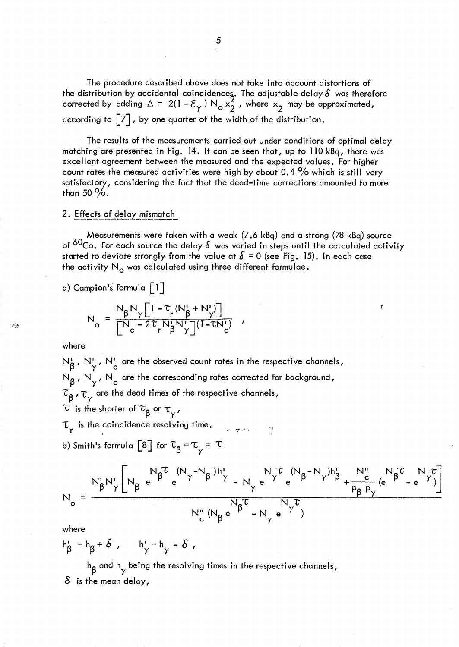The procedure described above does not take into account distortions of the distribution by accidental coincidences. The adjustable delay  $\delta$  was therefore corrected by adding  $\Delta = 2(1 - \mathcal{E}_{\gamma}) \mathsf{N}_{\mathsf{o}} \times_2^2$  , where  $\times_2$  may be approximated, according to  $|7|$ , by one quarter of the width of the distribution.

The results of the measurements carried out under conditions of optimal delay matching are presented in Fig. 14. It can be seen that, up to 110 kBq, there was excellent agreement between the measured and the expected values. For higher count rates the measured activities were high by about  $0.4\%$  which is still very satisfactory, considering the fact that the dead-time corrections amounted to more than 50 $\%$ .

### 2. Effects of delay mismatch

Measurements were taken with a weak (7.6 kBq) and a strong (78 kBq) source of  $60$ Co. For each source the delay  $\delta$  was varied in steps until the calculated activity started to deviate strongly from the value at  $\delta = 0$  (see Fig. 15). In each case the activity  $N_{\alpha}$  was calculated using three different formulae.

a) Campion's formula  $\lceil 1 \rceil$ 

$$
N_o = \frac{N_{\beta}N_{\gamma}\left[1-\tau\left(N_{\beta}^{\prime}+N^{\prime}\right)\right]}{\left[N_{c}-2\tau\right]N_{\beta}^{\prime}N_{\gamma}^{\prime}\right]\left(1-\tau N_{c}^{\prime}\right)}
$$

where

Q.

 $N^{\rm I}_{\beta}$ ,  $N^{\rm I}_{\gamma}$ ,  $N^{\rm I}_{\rm c}$  are the observed count rates in the respective channels, N<sub>R</sub>, N<sub>V</sub>, N<sub>2</sub> are the corresponding rates corrected for background,  $\tau_{\beta}$ ,  $\tau_{\gamma}$  are the dead times of the respective channels,  $\tau$  is the shorter of  $\tau_{\beta}^{\vphantom{\dag}}$  or  $\tau_{\gamma^{\vphantom{\dag}}},$ 

 $\tau_r$  is the coincidence resolving time. i<br>Se optima

b) Smith's formula [8] for  $\tau_{\beta} = \tau_{\gamma} = \tau$ 

$$
N_o=\frac{N_{\beta}^{\prime}N_{\gamma}^{\prime}\left[N_{\beta}\ e^{N_{\beta}^{\prime\prime}}\ e^{(N_{\gamma}-N_{\beta})h_{\gamma}^{\prime}}-N_{\gamma}\ e^{N_{\gamma}^{\prime\prime}}\ e^{(N_{\beta}-N_{\gamma})h_{\beta}^{\prime}}+\frac{N_{c}^{\prime\prime}}{P_{\beta}P_{\gamma}}\ (e^{N_{\beta}^{\prime\prime}}-e^{N_{\gamma}^{\prime\prime}})\right]}{N_{c}^{\prime\prime}\ (N_{\beta}\ e^{N_{\beta}^{\prime\prime}}-N_{\gamma}\ e^{\gamma^{\prime}})}
$$

where

$$
h_{\beta}^{\prime} = h_{\beta} + \delta , \qquad h_{\gamma}^{\prime} = h_{\gamma} - \delta ,
$$

 $h_{\beta}$  and  $h_{\gamma}$  being the resolving times in the respective channels,  $\delta$  is the mean delay,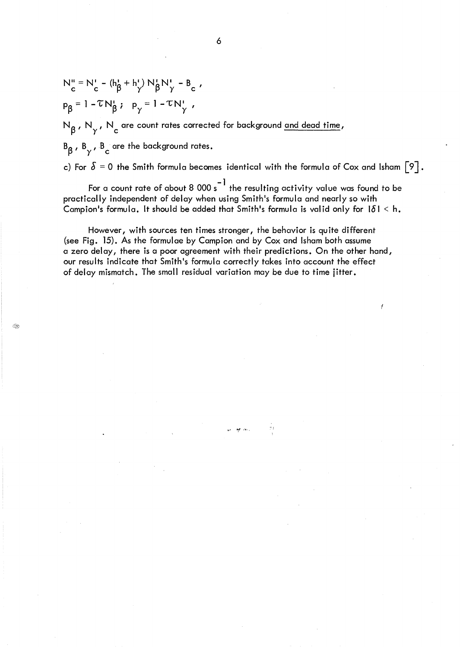$$
N_{c}^{u} = N_{c}^{v} - (h_{\beta}^{t} + h_{\gamma}^{t}) N_{\beta}^{t} N_{\gamma}^{t} - B_{c} ,
$$
  

$$
P_{\beta} = 1 - \tau N_{\beta}^{t} ; \quad P_{\gamma} = 1 - \tau N_{\gamma}^{t} ,
$$

N<sub>B</sub>, N<sub>y</sub>, N<sub>c</sub> are count rates corrected for background <u>and dead time</u>,

 $B_\beta$ ,  $B_\gamma$ ,  $B_\gamma$  are the background rates.

c) For  $\delta$  = 0 the Smith formula becomes identical with the formula of Cox and Isham  $\lceil 9 \rceil$ .

For a count rate of about 8 000  $\text{s}^{-1}$  the resulting activity value was found to be practically independent of delay when using Smith's formula and nearly so with Campion's formula. It should be added that Smith's formula is valid only for  $1\delta$  | < h.

However, with sources ten times stronger, the behavior is quite different (see Fig. 15). As the formulae by Campion and by Cox and Isham both assume a zero delay, there is a poor agreement with their predictions. On the other hand, our results indicate that Smith's formula correctly takes into account the effect of delay mismatch. The small residual variation may be due to time jitter.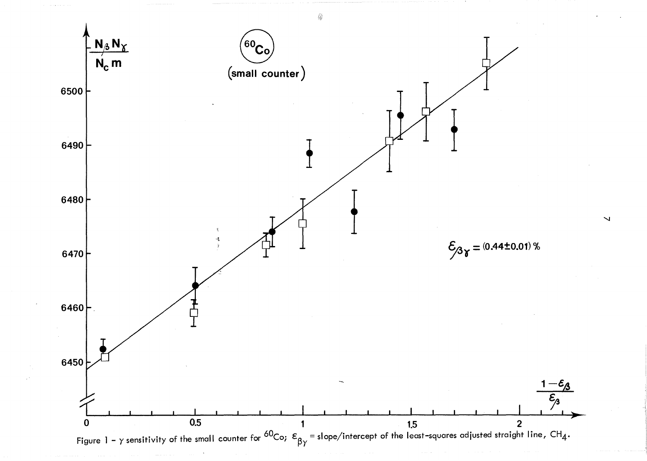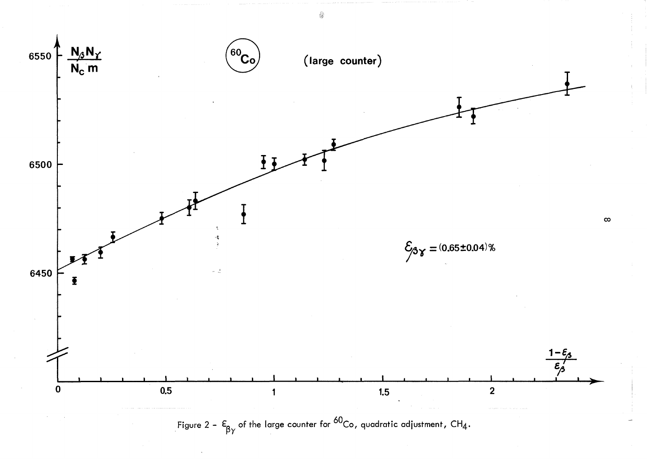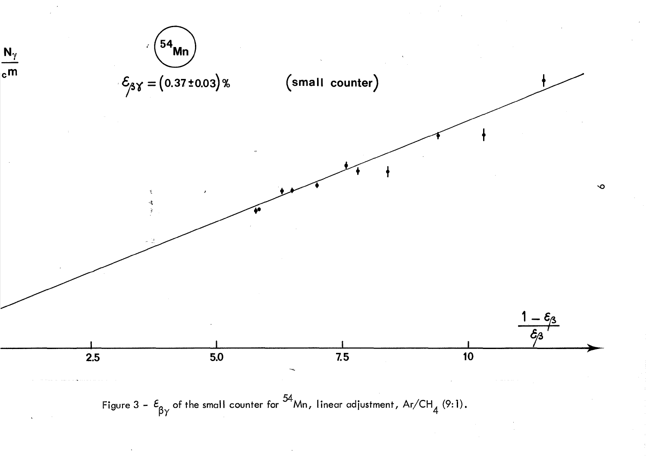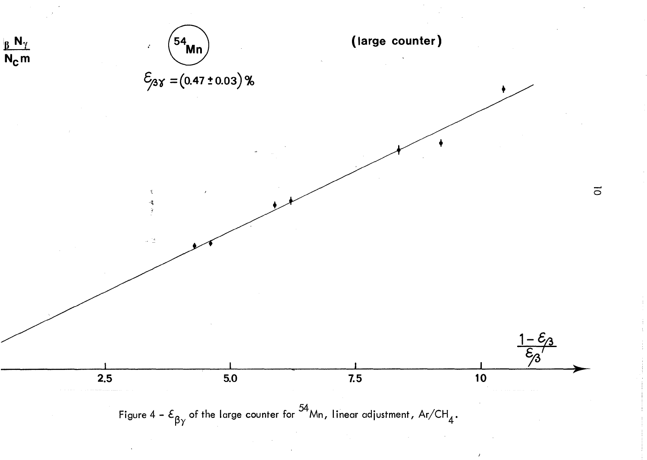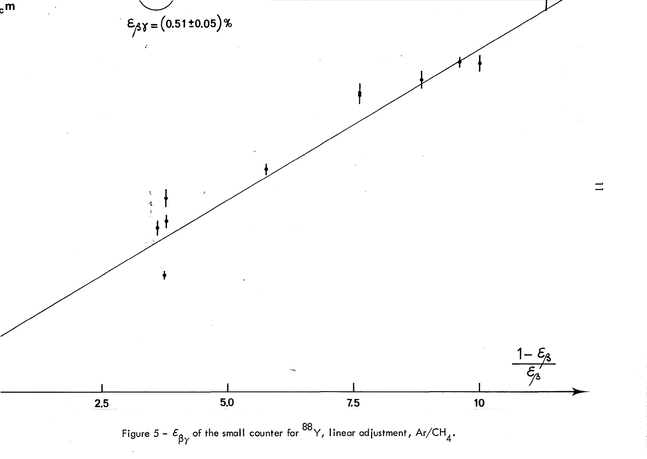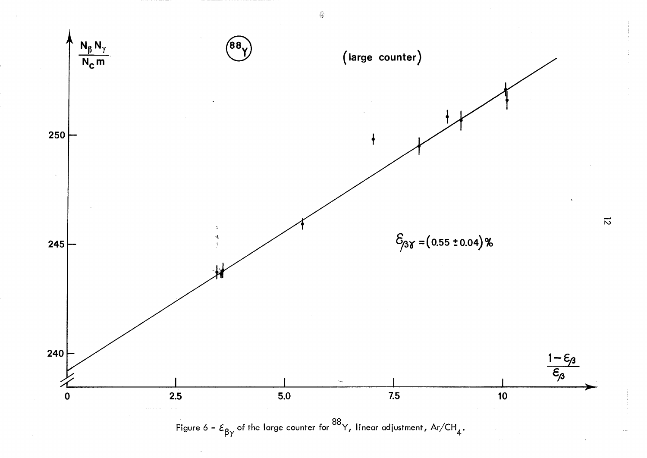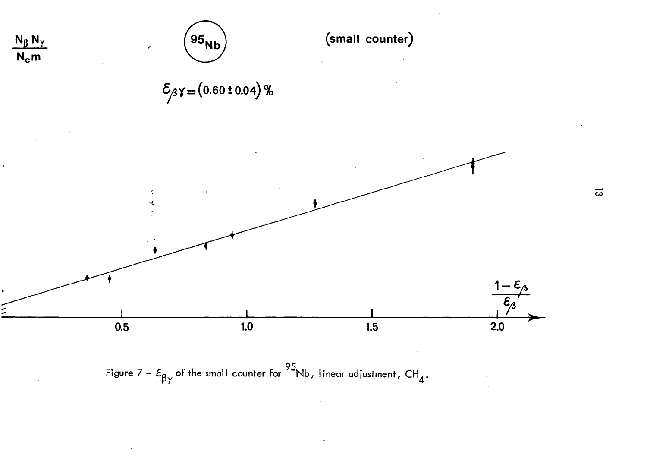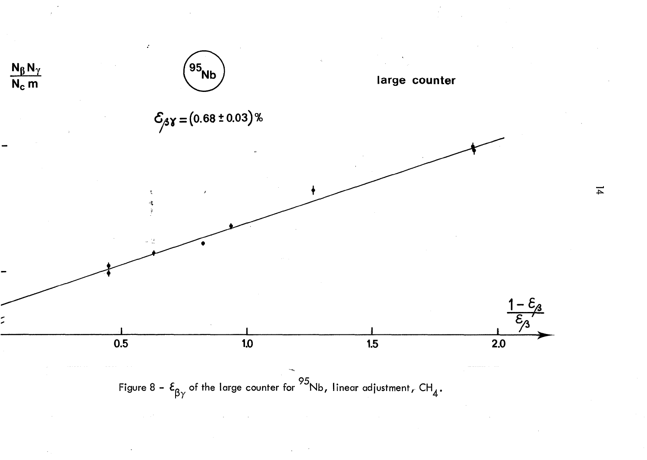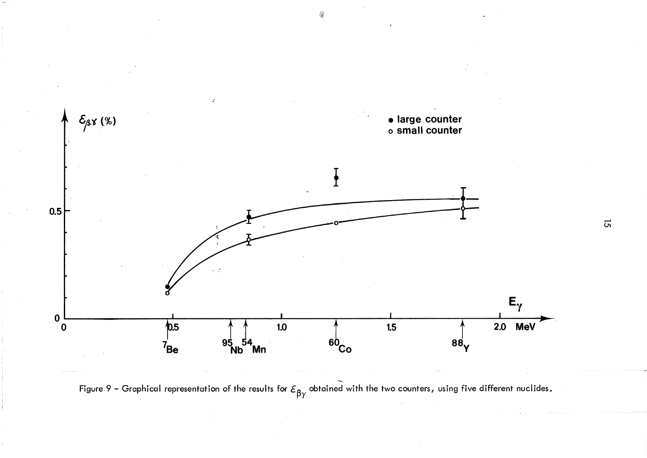

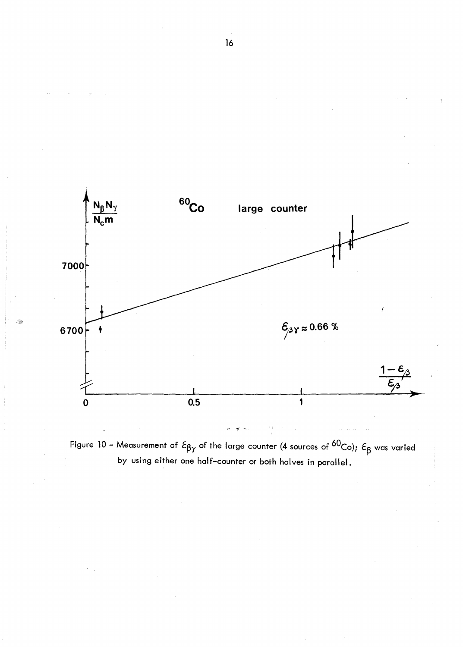

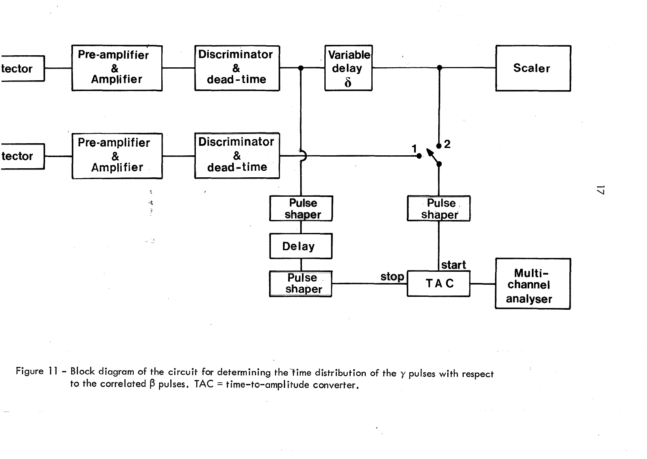

Figure 11 - Block diagram of the circuit for determining the time distribution of the  $\gamma$  pulses with respect to the correlated  $\beta$  pulses. TAC = time-to-amplitude converter.

 $\overline{u}$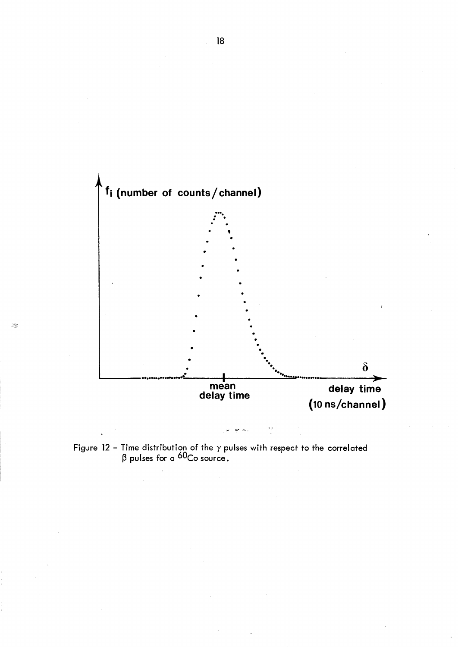

Figure 12 – Time distribution of the  $\gamma$  pulses with respect to the correlated  $\beta$  pulses for a <sup>60</sup>Co source.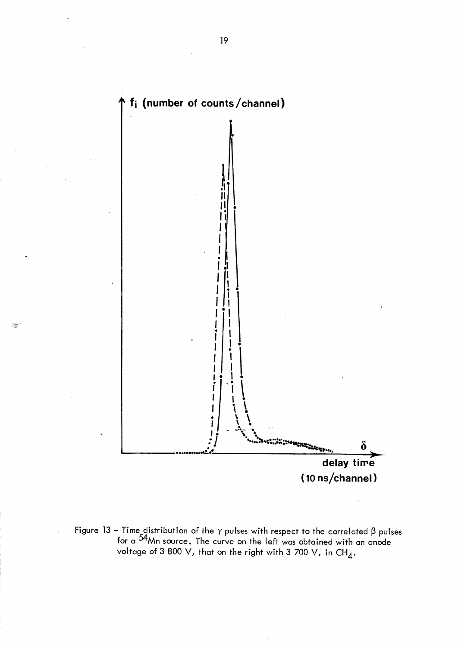

Ŷ.

Figure 13 – Time distribution of the  $\gamma$  pulses with respect to the correlated  $\beta$  pulses<br>for a <sup>54</sup>Mn source. The curve on the left was obtained with an anode<br>voltage of 3 800 V, that on the right with 3 700 V, in CH<sub>4</sub>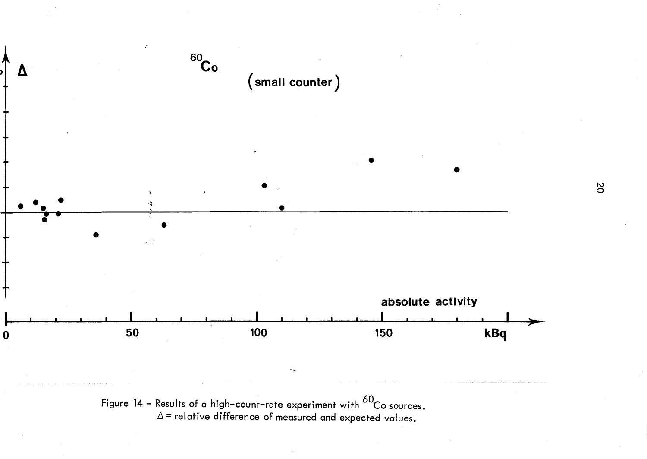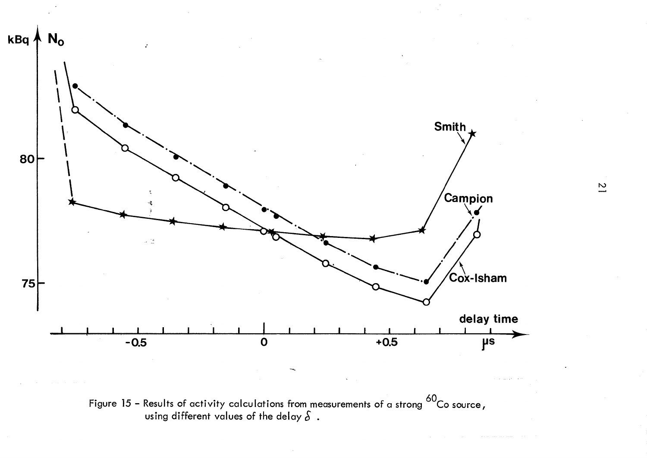

Figure 15 – Results of activity calculations from measurements of a strong  $^{60}$ Co source, using different values of the delay  $\delta$ .